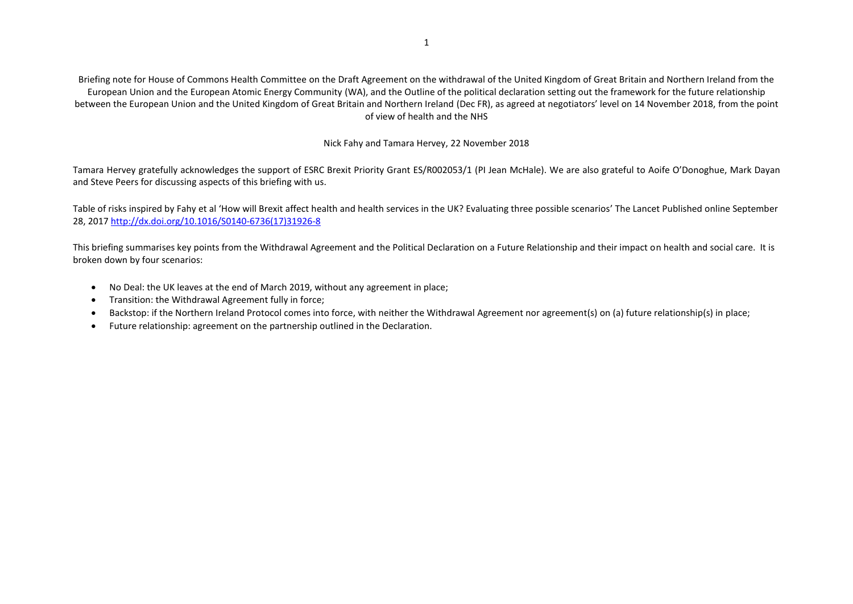Briefing note for House of Commons Health Committee on the Draft Agreement on the withdrawal of the United Kingdom of Great Britain and Northern Ireland from the European Union and the European Atomic Energy Community (WA), and the Outline of the political declaration setting out the framework for the future relationship between the European Union and the United Kingdom of Great Britain and Northern Ireland (Dec FR), as agreed at negotiators' level on 14 November 2018, from the point of view of health and the NHS

# Nick Fahy and Tamara Hervey, 22 November 2018

Tamara Hervey gratefully acknowledges the support of ESRC Brexit Priority Grant ES/R002053/1 (PI Jean McHale). We are also grateful to Aoife O'Donoghue, Mark Dayan and Steve Peers for discussing aspects of this briefing with us.

Table of risks inspired by Fahy et al 'How will Brexit affect health and health services in the UK? Evaluating three possible scenarios' The Lancet Published online September 28, 201[7 http://dx.doi.org/10.1016/S0140-6736\(17\)31926-8](http://dx.doi.org/10.1016/S0140-6736(17)31926-8)

This briefing summarises key points from the Withdrawal Agreement and the Political Declaration on a Future Relationship and their impact on health and social care. It is broken down by four scenarios:

- No Deal: the UK leaves at the end of March 2019, without any agreement in place;
- Transition: the Withdrawal Agreement fully in force;
- Backstop: if the Northern Ireland Protocol comes into force, with neither the Withdrawal Agreement nor agreement(s) on (a) future relationship(s) in place;
- Future relationship: agreement on the partnership outlined in the Declaration.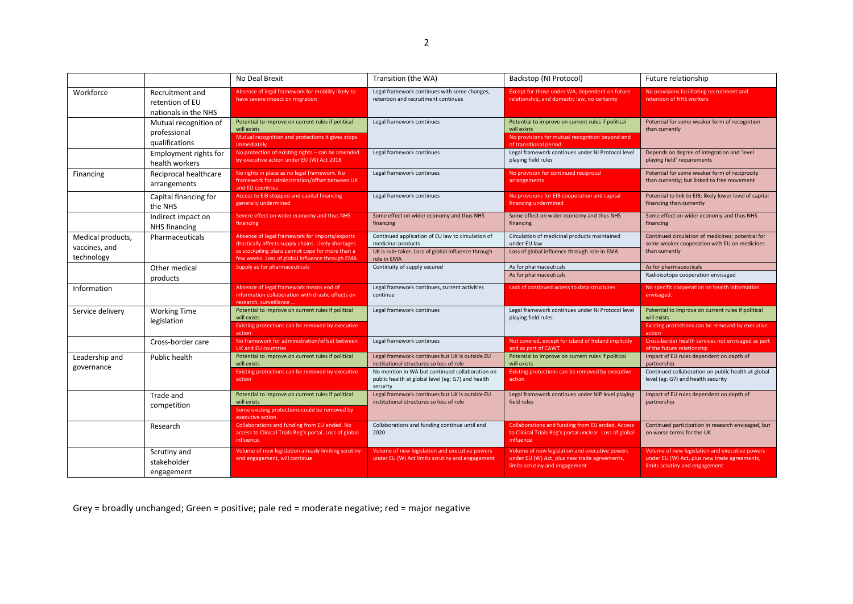|                                                  |                                                            | No Deal Brexit                                                                                                                                                                                               | Transition (the WA)                                                                                                                          | Backstop (NI Protocol)                                                                                                                         | Future relationship                                                                                                              |
|--------------------------------------------------|------------------------------------------------------------|--------------------------------------------------------------------------------------------------------------------------------------------------------------------------------------------------------------|----------------------------------------------------------------------------------------------------------------------------------------------|------------------------------------------------------------------------------------------------------------------------------------------------|----------------------------------------------------------------------------------------------------------------------------------|
| Workforce                                        | Recruitment and<br>retention of EU<br>nationals in the NHS | Absence of legal framework for mobility likely to<br>have severe impact on migration                                                                                                                         | Legal framework continues with some changes,<br>retention and recruitment continues                                                          | Except for those under WA, dependent on future<br>relationship, and domestic law, no certainty                                                 | No provisions facilitating recruitment and<br>retention of NHS workers                                                           |
|                                                  | Mutual recognition of<br>professional<br>qualifications    | Potential to improve on current rules if political<br>will exists<br>Mutual recognition and protections it gives stops<br>immediately                                                                        | Legal framework continues                                                                                                                    | Potential to improve on current rules if political<br>will exists<br>No provisions for mutual recognition beyond end<br>of transitional period | Potential for some weaker form of recognition<br>than currently                                                                  |
|                                                  | Employment rights for<br>health workers                    | No protection of existing rights - can be amended<br>by executive action under EU (W) Act 2018                                                                                                               | Legal framework continues                                                                                                                    | Legal framework continues under NI Protocol level<br>playing field rules                                                                       | Depends on degree of integration and 'level<br>playing field' requirements                                                       |
| Financing                                        | Reciprocal healthcare<br>arrangements                      | No rights in place as no legal framework. No<br>framework for administration/offset between UK<br>and EU countries                                                                                           | Legal framework continues                                                                                                                    | No provision for continued reciprocal<br>arrangements                                                                                          | Potential for some weaker form of reciprocity<br>than currently; but linked to free movement                                     |
|                                                  | Capital financing for<br>the NHS                           | Access to EIB stopped and capital financing<br>generally undermined                                                                                                                                          | Legal framework continues                                                                                                                    | No provisions for EIB cooperation and capital<br>financing undermined                                                                          | Potential to link to EIB; likely lower level of capital<br>financing than currently                                              |
|                                                  | Indirect impact on<br>NHS financing                        | Severe effect on wider economy and thus NHS<br>financing                                                                                                                                                     | Some effect on wider economy and thus NHS<br>financing                                                                                       | Some effect on wider economy and thus NHS<br>financing                                                                                         | Some effect on wider economy and thus NHS<br>financing                                                                           |
| Medical products,<br>vaccines, and<br>technology | Pharmaceuticals                                            | Absence of legal framework for imports/exports<br>drastically affects supply chains. Likely shortages<br>as stockpiling plans cannot cope for more than a<br>few weeks. Loss of global influence through EMA | Continued application of EU law to circulation of<br>medicinal products<br>UK is rule-taker. Loss of global influence through<br>role in EMA | Circulation of medicinal products maintained<br>under EU law<br>Loss of global influence through role in EMA                                   | Continued circulation of medicines; potential for<br>some weaker cooperation with EU on medicines<br>than currently              |
|                                                  | Other medical                                              | Supply as for pharmaceuticals                                                                                                                                                                                | Continuity of supply secured                                                                                                                 | As for pharmaceuticals                                                                                                                         | As for pharmaceuticals                                                                                                           |
|                                                  | products                                                   |                                                                                                                                                                                                              |                                                                                                                                              | As for pharmaceuticals                                                                                                                         | Radioisotope cooperation envisaged                                                                                               |
| Information                                      |                                                            | Absence of legal framework means end of<br>information collaboration with drastic effects on<br>research, surveillance                                                                                       | Legal framework continues, current activities<br>continue                                                                                    | Lack of continued access to data structures.                                                                                                   | No specific cooperation on health information<br>envisaged.                                                                      |
| Service delivery                                 | <b>Working Time</b><br>legislation                         | Potential to improve on current rules if political<br>will exists<br>Existing protections can be removed by executive                                                                                        | Legal framework continues                                                                                                                    | Legal framework continues under NI Protocol level<br>playing field rules                                                                       | Potential to improve on current rules if political<br>will exists<br>Existing protections can be removed by executive            |
|                                                  |                                                            | action                                                                                                                                                                                                       |                                                                                                                                              |                                                                                                                                                | action                                                                                                                           |
|                                                  | Cross-border care                                          | No framework for administration/offset between<br><b>UK and EU countries</b>                                                                                                                                 | Legal framework continues                                                                                                                    | Not covered, except for island of Ireland implicitly<br>and as part of CAWT                                                                    | Cross-border health services not envisaged as part<br>of the future relationship                                                 |
| Leadership and                                   | Public health                                              | Potential to improve on current rules if political<br>will exists                                                                                                                                            | Legal framework continues but UK is outside EU<br>institutional structures so loss of role                                                   | Potential to improve on current rules if political<br>will exists                                                                              | Impact of EU rules dependent on depth of<br>partnership                                                                          |
| governance                                       |                                                            | Existing protections can be removed by executive<br>action                                                                                                                                                   | No mention in WA but continued collaboration on<br>public health at global level (eg: G7) and health<br>security                             | Existing protections can be removed by executive<br>action                                                                                     | Continued collaboration on public health at global<br>level (eg: G7) and health security                                         |
|                                                  | Trade and<br>competition                                   | Potential to improve on current rules if political<br>will exists                                                                                                                                            | Legal framework continues but UK is outside EU<br>institutional structures so loss of role                                                   | Legal framework continues under NIP level playing<br>field rules                                                                               | Impact of EU rules dependent on depth of<br>partnership                                                                          |
|                                                  |                                                            | Some existing protections could be removed by<br>executive action                                                                                                                                            |                                                                                                                                              |                                                                                                                                                |                                                                                                                                  |
|                                                  | Research                                                   | Collaborations and funding from EU ended. No<br>access to Clinical Trials Reg's portal. Loss of global<br>influence.                                                                                         | Collaborations and funding continue until end<br>2020                                                                                        | Collaborations and funding from EU ended. Access<br>to Clinical Trials Reg's portal unclear. Loss of global<br>influence                       | Continued participation in research envisaged, but<br>on worse terms for the UK                                                  |
|                                                  | Scrutiny and<br>stakeholder<br>engagement                  | Volume of new legislation already limiting scrutiny<br>and engagement, will continue                                                                                                                         | Volume of new legislation and executive powers<br>under EU (W) Act limits scrutiny and engagement                                            | Volume of new legislation and executive powers<br>under EU (W) Act, plus new trade agreements,<br>limits scrutiny and engagement               | Volume of new legislation and executive powers<br>under EU (W) Act, plus new trade agreements,<br>limits scrutiny and engagement |

Grey = broadly unchanged; Green = positive; pale red = moderate negative; red = major negative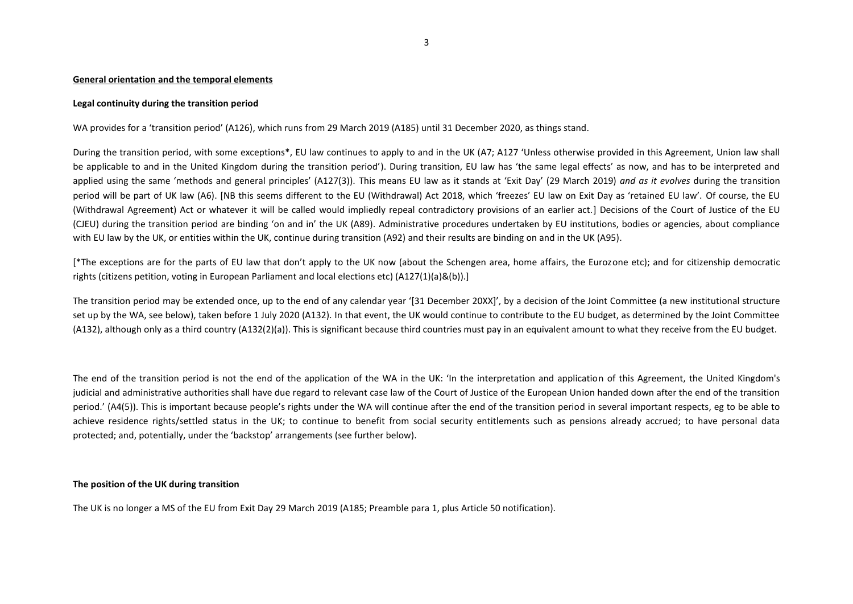### **General orientation and the temporal elements**

# **Legal continuity during the transition period**

WA provides for a 'transition period' (A126), which runs from 29 March 2019 (A185) until 31 December 2020, as things stand.

During the transition period, with some exceptions\*, EU law continues to apply to and in the UK (A7; A127 'Unless otherwise provided in this Agreement, Union law shall be applicable to and in the United Kingdom during the transition period'). During transition, EU law has 'the same legal effects' as now, and has to be interpreted and applied using the same 'methods and general principles' (A127(3)). This means EU law as it stands at 'Exit Day' (29 March 2019) *and as it evolves* during the transition period will be part of UK law (A6). [NB this seems different to the EU (Withdrawal) Act 2018, which 'freezes' EU law on Exit Day as 'retained EU law'. Of course, the EU (Withdrawal Agreement) Act or whatever it will be called would impliedly repeal contradictory provisions of an earlier act.] Decisions of the Court of Justice of the EU (CJEU) during the transition period are binding 'on and in' the UK (A89). Administrative procedures undertaken by EU institutions, bodies or agencies, about compliance with EU law by the UK, or entities within the UK, continue during transition (A92) and their results are binding on and in the UK (A95).

[\*The exceptions are for the parts of EU law that don't apply to the UK now (about the Schengen area, home affairs, the Eurozone etc); and for citizenship democratic rights (citizens petition, voting in European Parliament and local elections etc) (A127(1)(a)&(b)).]

The transition period may be extended once, up to the end of any calendar year '[31 December 20XX]', by a decision of the Joint Committee (a new institutional structure set up by the WA, see below), taken before 1 July 2020 (A132). In that event, the UK would continue to contribute to the EU budget, as determined by the Joint Committee (A132), although only as a third country (A132(2)(a)). This is significant because third countries must pay in an equivalent amount to what they receive from the EU budget.

The end of the transition period is not the end of the application of the WA in the UK: 'In the interpretation and application of this Agreement, the United Kingdom's judicial and administrative authorities shall have due regard to relevant case law of the Court of Justice of the European Union handed down after the end of the transition period.' (A4(5)). This is important because people's rights under the WA will continue after the end of the transition period in several important respects, eg to be able to achieve residence rights/settled status in the UK; to continue to benefit from social security entitlements such as pensions already accrued; to have personal data protected; and, potentially, under the 'backstop' arrangements (see further below).

# **The position of the UK during transition**

The UK is no longer a MS of the EU from Exit Day 29 March 2019 (A185; Preamble para 1, plus Article 50 notification).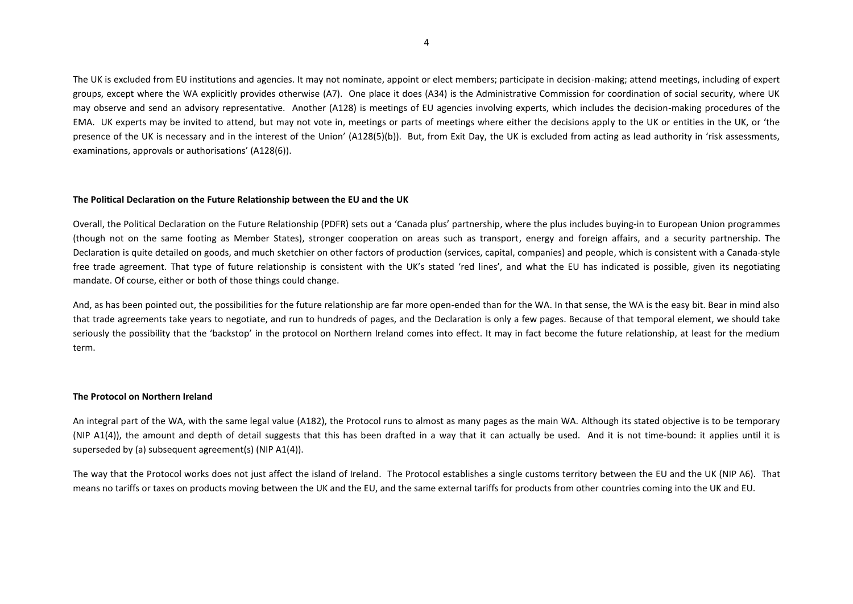The UK is excluded from EU institutions and agencies. It may not nominate, appoint or elect members; participate in decision-making; attend meetings, including of expert groups, except where the WA explicitly provides otherwise (A7). One place it does (A34) is the Administrative Commission for coordination of social security, where UK may observe and send an advisory representative. Another (A128) is meetings of EU agencies involving experts, which includes the decision-making procedures of the EMA. UK experts may be invited to attend, but may not vote in, meetings or parts of meetings where either the decisions apply to the UK or entities in the UK, or 'the presence of the UK is necessary and in the interest of the Union' (A128(5)(b)). But, from Exit Day, the UK is excluded from acting as lead authority in 'risk assessments, examinations, approvals or authorisations' (A128(6)).

### **The Political Declaration on the Future Relationship between the EU and the UK**

Overall, the Political Declaration on the Future Relationship (PDFR) sets out a 'Canada plus' partnership, where the plus includes buying-in to European Union programmes (though not on the same footing as Member States), stronger cooperation on areas such as transport, energy and foreign affairs, and a security partnership. The Declaration is quite detailed on goods, and much sketchier on other factors of production (services, capital, companies) and people, which is consistent with a Canada-style free trade agreement. That type of future relationship is consistent with the UK's stated 'red lines', and what the EU has indicated is possible, given its negotiating mandate. Of course, either or both of those things could change.

And, as has been pointed out, the possibilities for the future relationship are far more open-ended than for the WA. In that sense, the WA is the easy bit. Bear in mind also that trade agreements take years to negotiate, and run to hundreds of pages, and the Declaration is only a few pages. Because of that temporal element, we should take seriously the possibility that the 'backstop' in the protocol on Northern Ireland comes into effect. It may in fact become the future relationship, at least for the medium term.

### **The Protocol on Northern Ireland**

An integral part of the WA, with the same legal value (A182), the Protocol runs to almost as many pages as the main WA. Although its stated objective is to be temporary (NIP A1(4)), the amount and depth of detail suggests that this has been drafted in a way that it can actually be used. And it is not time-bound: it applies until it is superseded by (a) subsequent agreement(s) (NIP A1(4)).

The way that the Protocol works does not just affect the island of Ireland. The Protocol establishes a single customs territory between the EU and the UK (NIP A6). That means no tariffs or taxes on products moving between the UK and the EU, and the same external tariffs for products from other countries coming into the UK and EU.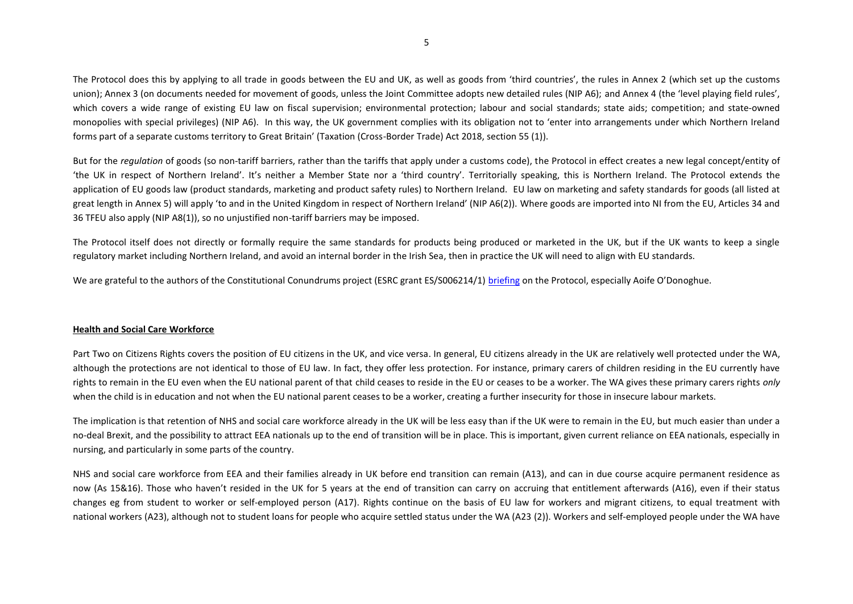The Protocol does this by applying to all trade in goods between the EU and UK, as well as goods from 'third countries', the rules in Annex 2 (which set up the customs union); Annex 3 (on documents needed for movement of goods, unless the Joint Committee adopts new detailed rules (NIP A6); and Annex 4 (the 'level playing field rules', which covers a wide range of existing EU law on fiscal supervision; environmental protection; labour and social standards; state aids; competition; and state-owned monopolies with special privileges) (NIP A6). In this way, the UK government complies with its obligation not to 'enter into arrangements under which Northern Ireland forms part of a separate customs territory to Great Britain' (Taxation (Cross-Border Trade) Act 2018, section 55 (1)).

But for the *regulation* of goods (so non-tariff barriers, rather than the tariffs that apply under a customs code), the Protocol in effect creates a new legal concept/entity of 'the UK in respect of Northern Ireland'. It's neither a Member State nor a 'third country'. Territorially speaking, this is Northern Ireland. The Protocol extends the application of EU goods law (product standards, marketing and product safety rules) to Northern Ireland. EU law on marketing and safety standards for goods (all listed at great length in Annex 5) will apply 'to and in the United Kingdom in respect of Northern Ireland' (NIP A6(2)). Where goods are imported into NI from the EU, Articles 34 and 36 TFEU also apply (NIP A8(1)), so no unjustified non-tariff barriers may be imposed.

The Protocol itself does not directly or formally require the same standards for products being produced or marketed in the UK, but if the UK wants to keep a single regulatory market including Northern Ireland, and avoid an internal border in the Irish Sea, then in practice the UK will need to align with EU standards.

We are grateful to the authors of the Constitutional Conundrums project (ESRC grant ES/S006214/1) [briefing](https://btcwarwick.files.wordpress.com/2018/11/withdrawal-agreement-briefing.pdf) on the Protocol, especially Aoife O'Donoghue.

# **Health and Social Care Workforce**

Part Two on Citizens Rights covers the position of EU citizens in the UK, and vice versa. In general, EU citizens already in the UK are relatively well protected under the WA, although the protections are not identical to those of EU law. In fact, they offer less protection. For instance, primary carers of children residing in the EU currently have rights to remain in the EU even when the EU national parent of that child ceases to reside in the EU or ceases to be a worker. The WA gives these primary carers rights *only*  when the child is in education and not when the EU national parent ceases to be a worker, creating a further insecurity for those in insecure labour markets.

The implication is that retention of NHS and social care workforce already in the UK will be less easy than if the UK were to remain in the EU, but much easier than under a no-deal Brexit, and the possibility to attract EEA nationals up to the end of transition will be in place. This is important, given current reliance on EEA nationals, especially in nursing, and particularly in some parts of the country.

NHS and social care workforce from EEA and their families already in UK before end transition can remain (A13), and can in due course acquire permanent residence as now (As 15&16). Those who haven't resided in the UK for 5 years at the end of transition can carry on accruing that entitlement afterwards (A16), even if their status changes eg from student to worker or self-employed person (A17). Rights continue on the basis of EU law for workers and migrant citizens, to equal treatment with national workers (A23), although not to student loans for people who acquire settled status under the WA (A23 (2)). Workers and self-employed people under the WA have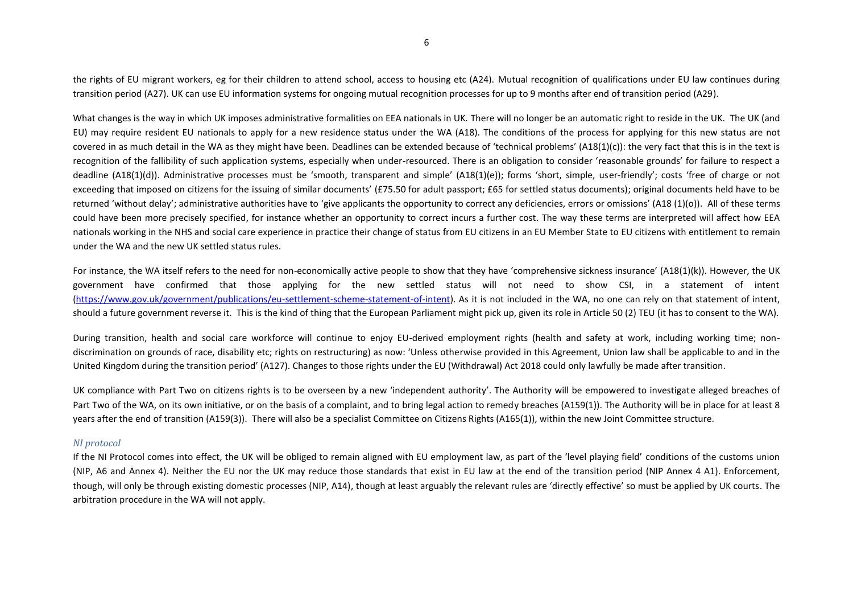the rights of EU migrant workers, eg for their children to attend school, access to housing etc (A24). Mutual recognition of qualifications under EU law continues during transition period (A27). UK can use EU information systems for ongoing mutual recognition processes for up to 9 months after end of transition period (A29).

What changes is the way in which UK imposes administrative formalities on EEA nationals in UK. There will no longer be an automatic right to reside in the UK. The UK (and EU) may require resident EU nationals to apply for a new residence status under the WA (A18). The conditions of the process for applying for this new status are not covered in as much detail in the WA as they might have been. Deadlines can be extended because of 'technical problems' (A18(1)(c)): the very fact that this is in the text is recognition of the fallibility of such application systems, especially when under-resourced. There is an obligation to consider 'reasonable grounds' for failure to respect a deadline (A18(1)(d)). Administrative processes must be 'smooth, transparent and simple' (A18(1)(e)); forms 'short, simple, user-friendly'; costs 'free of charge or not exceeding that imposed on citizens for the issuing of similar documents' (£75.50 for adult passport: £65 for settled status documents); original documents held have to be returned 'without delay'; administrative authorities have to 'give applicants the opportunity to correct any deficiencies, errors or omissions' (A18 (1)(o)). All of these terms could have been more precisely specified, for instance whether an opportunity to correct incurs a further cost. The way these terms are interpreted will affect how EEA nationals working in the NHS and social care experience in practice their change of status from EU citizens in an EU Member State to EU citizens with entitlement to remain under the WA and the new UK settled status rules.

For instance, the WA itself refers to the need for non-economically active people to show that they have 'comprehensive sickness insurance' (A18(1)(k)). However, the UK government have confirmed that those applying for the new settled status will not need to show CSI, in a statement of intent [\(https://www.gov.uk/government/publications/eu-settlement-scheme-statement-of-intent\)](https://www.gov.uk/government/publications/eu-settlement-scheme-statement-of-intent). As it is not included in the WA, no one can rely on that statement of intent, should a future government reverse it. This is the kind of thing that the European Parliament might pick up, given its role in Article 50 (2) TEU (it has to consent to the WA).

During transition, health and social care workforce will continue to enjoy EU-derived employment rights (health and safety at work, including working time; nondiscrimination on grounds of race, disability etc; rights on restructuring) as now: 'Unless otherwise provided in this Agreement, Union law shall be applicable to and in the United Kingdom during the transition period' (A127). Changes to those rights under the EU (Withdrawal) Act 2018 could only lawfully be made after transition.

UK compliance with Part Two on citizens rights is to be overseen by a new 'independent authority'. The Authority will be empowered to investigate alleged breaches of Part Two of the WA, on its own initiative, or on the basis of a complaint, and to bring legal action to remedy breaches (A159(1)). The Authority will be in place for at least 8 years after the end of transition (A159(3)). There will also be a specialist Committee on Citizens Rights (A165(1)), within the new Joint Committee structure.

# *NI protocol*

If the NI Protocol comes into effect, the UK will be obliged to remain aligned with EU employment law, as part of the 'level playing field' conditions of the customs union (NIP, A6 and Annex 4). Neither the EU nor the UK may reduce those standards that exist in EU law at the end of the transition period (NIP Annex 4 A1). Enforcement, though, will only be through existing domestic processes (NIP, A14), though at least arguably the relevant rules are 'directly effective' so must be applied by UK courts. The arbitration procedure in the WA will not apply.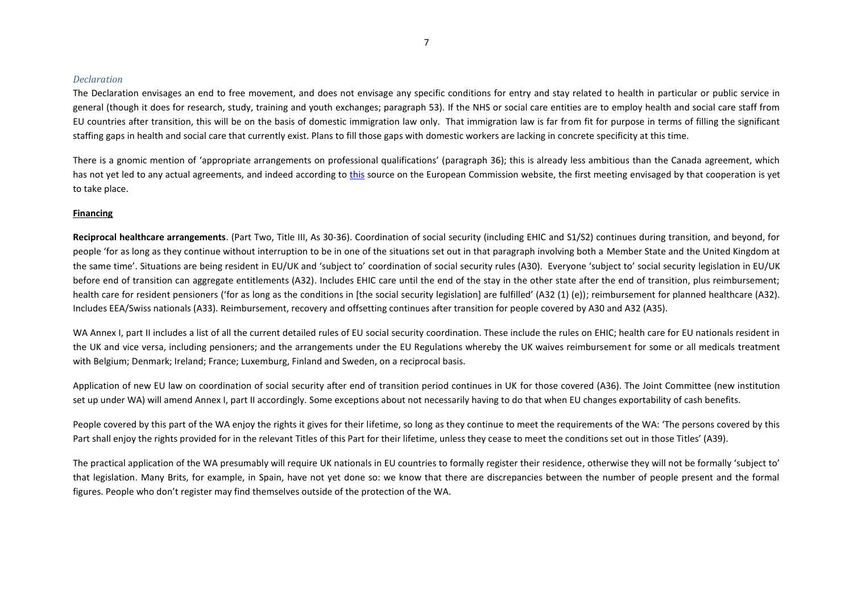#### *Declaration*

The Declaration envisages an end to free movement, and does not envisage any specific conditions for entry and stay related to health in particular or public service in general (though it does for research, study, training and youth exchanges; paragraph 53). If the NHS or social care entities are to employ health and social care staff from EU countries after transition, this will be on the basis of domestic immigration law only. That immigration law is far from fit for purpose in terms of filling the significant staffing gaps in health and social care that currently exist. Plans to fill those gaps with domestic workers are lacking in concrete specificity at this time.

There is a gnomic mention of 'appropriate arrangements on professional qualifications' (paragraph 36); this is already less ambitious than the Canada agreement, which has not yet led to any actual agreements, and indeed according to [this](http://trade.ec.europa.eu/doclib/press/index.cfm?id=1811) source on the European Commission website, the first meeting envisaged by that cooperation is yet to take place.

### **Financing**

**Reciprocal healthcare arrangements**. (Part Two, Title III, As 30-36). Coordination of social security (including EHIC and S1/S2) continues during transition, and beyond, for people 'for as long as they continue without interruption to be in one of the situations set out in that paragraph involving both a Member State and the United Kingdom at the same time'. Situations are being resident in EU/UK and 'subject to' coordination of social security rules (A30). Everyone 'subject to' social security legislation in EU/UK before end of transition can aggregate entitlements (A32). Includes EHIC care until the end of the stay in the other state after the end of transition, plus reimbursement; health care for resident pensioners ('for as long as the conditions in [the social security legislation] are fulfilled' (A32 (1) (e)); reimbursement for planned healthcare (A32). Includes EEA/Swiss nationals (A33). Reimbursement, recovery and offsetting continues after transition for people covered by A30 and A32 (A35).

WA Annex I, part II includes a list of all the current detailed rules of EU social security coordination. These include the rules on EHIC; health care for EU nationals resident in the UK and vice versa, including pensioners; and the arrangements under the EU Regulations whereby the UK waives reimbursement for some or all medicals treatment with Belgium; Denmark; Ireland; France; Luxemburg, Finland and Sweden, on a reciprocal basis.

Application of new EU law on coordination of social security after end of transition period continues in UK for those covered (A36). The Joint Committee (new institution set up under WA) will amend Annex I, part II accordingly. Some exceptions about not necessarily having to do that when EU changes exportability of cash benefits.

People covered by this part of the WA enjoy the rights it gives for their lifetime, so long as they continue to meet the requirements of the WA: 'The persons covered by this Part shall enjoy the rights provided for in the relevant Titles of this Part for their lifetime, unless they cease to meet the conditions set out in those Titles' (A39).

The practical application of the WA presumably will require UK nationals in EU countries to formally register their residence, otherwise they will not be formally 'subject to' that legislation. Many Brits, for example, in Spain, have not yet done so: we know that there are discrepancies between the number of people present and the formal figures. People who don't register may find themselves outside of the protection of the WA.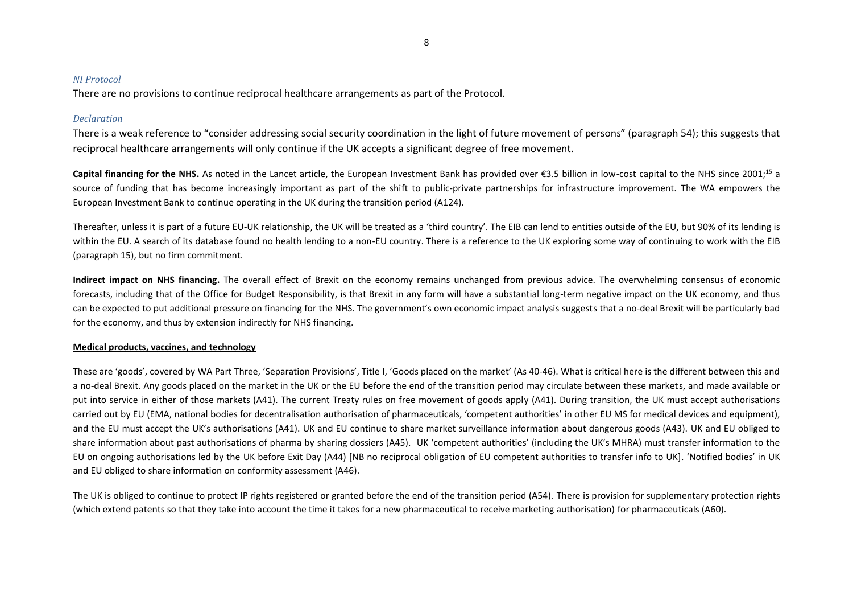# *NI Protocol*

There are no provisions to continue reciprocal healthcare arrangements as part of the Protocol.

# *Declaration*

There is a weak reference to "consider addressing social security coordination in the light of future movement of persons" (paragraph 54); this suggests that reciprocal healthcare arrangements will only continue if the UK accepts a significant degree of free movement.

Capital financing for the NHS. As noted in the Lancet article, the European Investment Bank has provided over €3.5 billion in low-cost capital to the NHS since 2001:<sup>15</sup> a source of funding that has become increasingly important as part of the shift to public-private partnerships for infrastructure improvement. The WA empowers the European Investment Bank to continue operating in the UK during the transition period (A124).

Thereafter, unless it is part of a future EU-UK relationship, the UK will be treated as a 'third country'. The EIB can lend to entities outside of the EU, but 90% of its lending is within the EU. A search of its database found no health lending to a non-EU country. There is a reference to the UK exploring some way of continuing to work with the EIB (paragraph 15), but no firm commitment.

**Indirect impact on NHS financing.** The overall effect of Brexit on the economy remains unchanged from previous advice. The overwhelming consensus of economic forecasts, including that of the Office for Budget Responsibility, is that Brexit in any form will have a substantial long-term negative impact on the UK economy, and thus can be expected to put additional pressure on financing for the NHS. The government's own economic impact analysis suggests that a no-deal Brexit will be particularly bad for the economy, and thus by extension indirectly for NHS financing.

# **Medical products, vaccines, and technology**

These are 'goods', covered by WA Part Three, 'Separation Provisions', Title I, 'Goods placed on the market' (As 40-46). What is critical here is the different between this and a no-deal Brexit. Any goods placed on the market in the UK or the EU before the end of the transition period may circulate between these markets, and made available or put into service in either of those markets (A41). The current Treaty rules on free movement of goods apply (A41). During transition, the UK must accept authorisations carried out by EU (EMA, national bodies for decentralisation authorisation of pharmaceuticals, 'competent authorities' in other EU MS for medical devices and equipment), and the EU must accept the UK's authorisations (A41). UK and EU continue to share market surveillance information about dangerous goods (A43). UK and EU obliged to share information about past authorisations of pharma by sharing dossiers (A45). UK 'competent authorities' (including the UK's MHRA) must transfer information to the EU on ongoing authorisations led by the UK before Exit Day (A44) [NB no reciprocal obligation of EU competent authorities to transfer info to UK]. 'Notified bodies' in UK and EU obliged to share information on conformity assessment (A46).

The UK is obliged to continue to protect IP rights registered or granted before the end of the transition period (A54). There is provision for supplementary protection rights (which extend patents so that they take into account the time it takes for a new pharmaceutical to receive marketing authorisation) for pharmaceuticals (A60).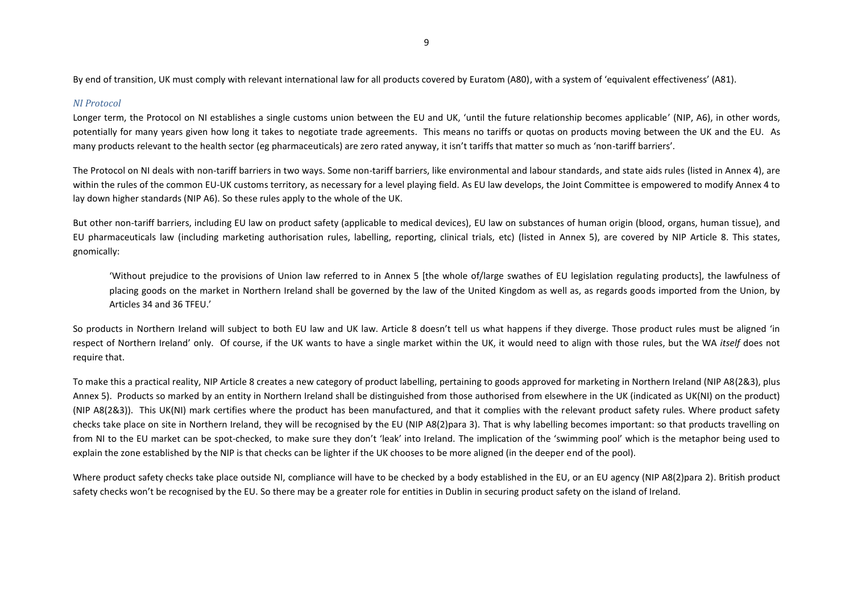9

By end of transition, UK must comply with relevant international law for all products covered by Euratom (A80), with a system of 'equivalent effectiveness' (A81).

### *NI Protocol*

Longer term, the Protocol on NI establishes a single customs union between the EU and UK, 'until the future relationship becomes applicable' (NIP, A6), in other words, potentially for many years given how long it takes to negotiate trade agreements. This means no tariffs or quotas on products moving between the UK and the EU. As many products relevant to the health sector (eg pharmaceuticals) are zero rated anyway, it isn't tariffs that matter so much as 'non-tariff barriers'.

The Protocol on NI deals with non-tariff barriers in two ways. Some non-tariff barriers, like environmental and labour standards, and state aids rules (listed in Annex 4), are within the rules of the common EU-UK customs territory, as necessary for a level playing field. As EU law develops, the Joint Committee is empowered to modify Annex 4 to lay down higher standards (NIP A6). So these rules apply to the whole of the UK.

But other non-tariff barriers, including EU law on product safety (applicable to medical devices), EU law on substances of human origin (blood, organs, human tissue), and EU pharmaceuticals law (including marketing authorisation rules, labelling, reporting, clinical trials, etc) (listed in Annex 5), are covered by NIP Article 8. This states, gnomically:

'Without prejudice to the provisions of Union law referred to in Annex 5 [the whole of/large swathes of EU legislation regulating products], the lawfulness of placing goods on the market in Northern Ireland shall be governed by the law of the United Kingdom as well as, as regards goods imported from the Union, by Articles 34 and 36 TFEU.'

So products in Northern Ireland will subject to both EU law and UK law. Article 8 doesn't tell us what happens if they diverge. Those product rules must be aligned 'in respect of Northern Ireland' only. Of course, if the UK wants to have a single market within the UK, it would need to align with those rules, but the WA *itself* does not require that.

To make this a practical reality, NIP Article 8 creates a new category of product labelling, pertaining to goods approved for marketing in Northern Ireland (NIP A8(2&3), plus Annex 5). Products so marked by an entity in Northern Ireland shall be distinguished from those authorised from elsewhere in the UK (indicated as UK(NI) on the product) (NIP A8(2&3)). This UK(NI) mark certifies where the product has been manufactured, and that it complies with the relevant product safety rules. Where product safety checks take place on site in Northern Ireland, they will be recognised by the EU (NIP A8(2)para 3). That is why labelling becomes important: so that products travelling on from NI to the EU market can be spot-checked, to make sure they don't 'leak' into Ireland. The implication of the 'swimming pool' which is the metaphor being used to explain the zone established by the NIP is that checks can be lighter if the UK chooses to be more aligned (in the deeper end of the pool).

Where product safety checks take place outside NI, compliance will have to be checked by a body established in the EU, or an EU agency (NIP A8(2)para 2). British product safety checks won't be recognised by the EU. So there may be a greater role for entities in Dublin in securing product safety on the island of Ireland.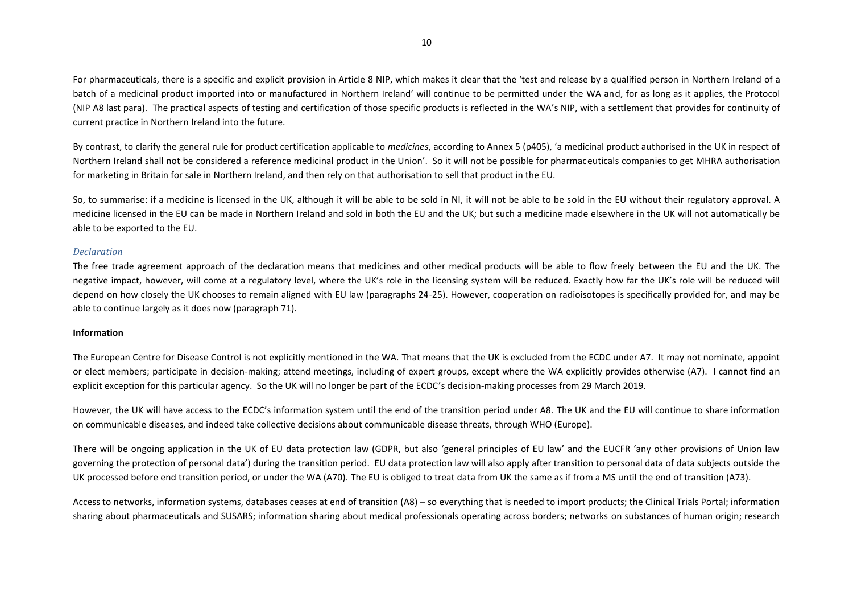For pharmaceuticals, there is a specific and explicit provision in Article 8 NIP, which makes it clear that the 'test and release by a qualified person in Northern Ireland of a batch of a medicinal product imported into or manufactured in Northern Ireland' will continue to be permitted under the WA and, for as long as it applies, the Protocol (NIP A8 last para). The practical aspects of testing and certification of those specific products is reflected in the WA's NIP, with a settlement that provides for continuity of current practice in Northern Ireland into the future.

By contrast, to clarify the general rule for product certification applicable to *medicines*, according to Annex 5 (p405), 'a medicinal product authorised in the UK in respect of Northern Ireland shall not be considered a reference medicinal product in the Union'. So it will not be possible for pharmaceuticals companies to get MHRA authorisation for marketing in Britain for sale in Northern Ireland, and then rely on that authorisation to sell that product in the EU.

So, to summarise: if a medicine is licensed in the UK, although it will be able to be sold in NI, it will not be able to be sold in the EU without their regulatory approval. A medicine licensed in the EU can be made in Northern Ireland and sold in both the EU and the UK; but such a medicine made elsewhere in the UK will not automatically be able to be exported to the EU.

### *Declaration*

The free trade agreement approach of the declaration means that medicines and other medical products will be able to flow freely between the EU and the UK. The negative impact, however, will come at a regulatory level, where the UK's role in the licensing system will be reduced. Exactly how far the UK's role will be reduced will depend on how closely the UK chooses to remain aligned with EU law (paragraphs 24-25). However, cooperation on radioisotopes is specifically provided for, and may be able to continue largely as it does now (paragraph 71).

### **Information**

The European Centre for Disease Control is not explicitly mentioned in the WA. That means that the UK is excluded from the ECDC under A7. It may not nominate, appoint or elect members; participate in decision-making; attend meetings, including of expert groups, except where the WA explicitly provides otherwise (A7). I cannot find an explicit exception for this particular agency. So the UK will no longer be part of the ECDC's decision-making processes from 29 March 2019.

However, the UK will have access to the ECDC's information system until the end of the transition period under A8. The UK and the EU will continue to share information on communicable diseases, and indeed take collective decisions about communicable disease threats, through WHO (Europe).

There will be ongoing application in the UK of EU data protection law (GDPR, but also 'general principles of EU law' and the EUCFR 'any other provisions of Union law governing the protection of personal data') during the transition period. EU data protection law will also apply after transition to personal data of data subjects outside the UK processed before end transition period, or under the WA (A70). The EU is obliged to treat data from UK the same as if from a MS until the end of transition (A73).

Access to networks, information systems, databases ceases at end of transition (A8) – so everything that is needed to import products; the Clinical Trials Portal; information sharing about pharmaceuticals and SUSARS; information sharing about medical professionals operating across borders; networks on substances of human origin; research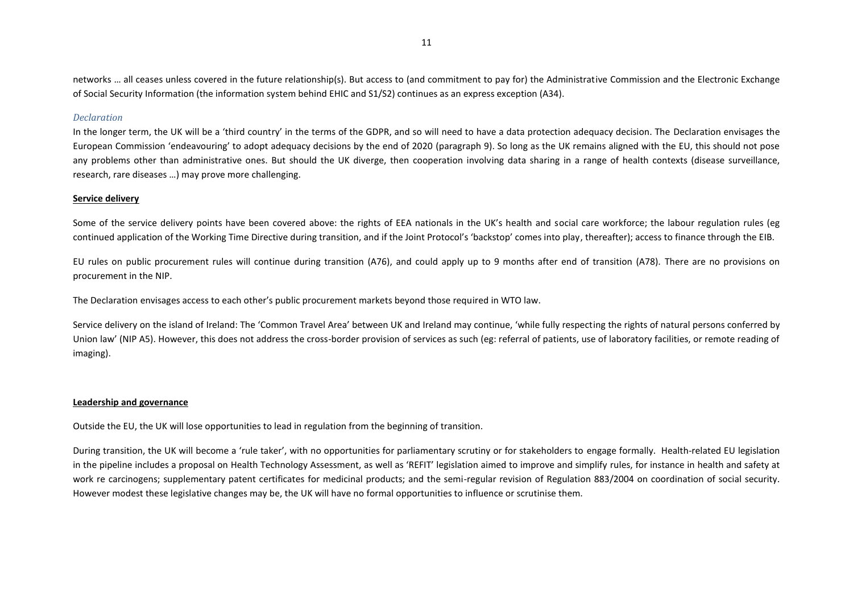networks … all ceases unless covered in the future relationship(s). But access to (and commitment to pay for) the Administrative Commission and the Electronic Exchange of Social Security Information (the information system behind EHIC and S1/S2) continues as an express exception (A34).

## *Declaration*

In the longer term, the UK will be a 'third country' in the terms of the GDPR, and so will need to have a data protection adequacy decision. The Declaration envisages the European Commission 'endeavouring' to adopt adequacy decisions by the end of 2020 (paragraph 9). So long as the UK remains aligned with the EU, this should not pose any problems other than administrative ones. But should the UK diverge, then cooperation involving data sharing in a range of health contexts (disease surveillance, research, rare diseases …) may prove more challenging.

# **Service delivery**

Some of the service delivery points have been covered above: the rights of EEA nationals in the UK's health and social care workforce; the labour regulation rules (eg continued application of the Working Time Directive during transition, and if the Joint Protocol's 'backstop' comes into play, thereafter); access to finance through the EIB.

EU rules on public procurement rules will continue during transition (A76), and could apply up to 9 months after end of transition (A78). There are no provisions on procurement in the NIP.

The Declaration envisages access to each other's public procurement markets beyond those required in WTO law.

Service delivery on the island of Ireland: The 'Common Travel Area' between UK and Ireland may continue, 'while fully respecting the rights of natural persons conferred by Union law' (NIP A5). However, this does not address the cross-border provision of services as such (eg: referral of patients, use of laboratory facilities, or remote reading of imaging).

### **Leadership and governance**

Outside the EU, the UK will lose opportunities to lead in regulation from the beginning of transition.

During transition, the UK will become a 'rule taker', with no opportunities for parliamentary scrutiny or for stakeholders to engage formally. Health-related EU legislation in the pipeline includes a proposal on Health Technology Assessment, as well as 'REFIT' legislation aimed to improve and simplify rules, for instance in health and safety at work re carcinogens; supplementary patent certificates for medicinal products; and the semi-regular revision of Regulation 883/2004 on coordination of social security. However modest these legislative changes may be, the UK will have no formal opportunities to influence or scrutinise them.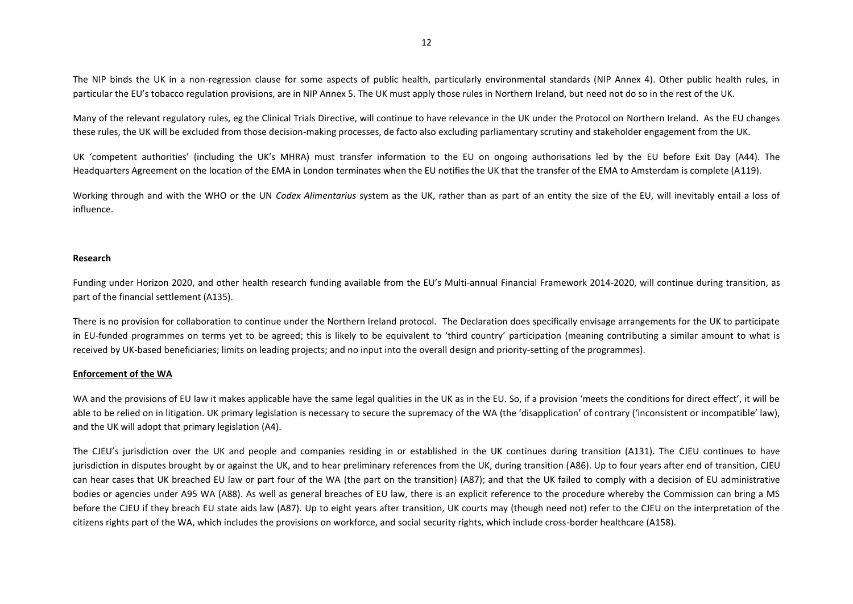The NIP binds the UK in a non-regression clause for some aspects of public health, particularly environmental standards (NIP Annex 4). Other public health rules, in particular the EU's tobacco regulation provisions, are in NIP Annex 5. The UK must apply those rules in Northern Ireland, but need not do so in the rest of the UK.

Many of the relevant regulatory rules, eg the Clinical Trials Directive, will continue to have relevance in the UK under the Protocol on Northern Ireland. As the EU changes these rules, the UK will be excluded from those decision-making processes, de facto also excluding parliamentary scrutiny and stakeholder engagement from the UK.

UK 'competent authorities' (including the UK's MHRA) must transfer information to the EU on ongoing authorisations led by the EU before Exit Day (A44). The Headquarters Agreement on the location of the EMA in London terminates when the EU notifies the UK that the transfer of the EMA to Amsterdam is complete (A119).

Working through and with the WHO or the UN *Codex Alimentarius* system as the UK, rather than as part of an entity the size of the EU, will inevitably entail a loss of influence.

## **Research**

Funding under Horizon 2020, and other health research funding available from the EU's Multi-annual Financial Framework 2014-2020, will continue during transition, as part of the financial settlement (A135).

There is no provision for collaboration to continue under the Northern Ireland protocol. The Declaration does specifically envisage arrangements for the UK to participate in EU-funded programmes on terms yet to be agreed; this is likely to be equivalent to 'third country' participation (meaning contributing a similar amount to what is received by UK-based beneficiaries; limits on leading projects; and no input into the overall design and priority-setting of the programmes).

### **Enforcement of the WA**

WA and the provisions of EU law it makes applicable have the same legal qualities in the UK as in the EU. So, if a provision 'meets the conditions for direct effect', it will be able to be relied on in litigation. UK primary legislation is necessary to secure the supremacy of the WA (the 'disapplication' of contrary ('inconsistent or incompatible' law). and the UK will adopt that primary legislation (A4).

The CJEU's jurisdiction over the UK and people and companies residing in or established in the UK continues during transition (A131). The CJEU continues to have jurisdiction in disputes brought by or against the UK, and to hear preliminary references from the UK, during transition (A86). Up to four years after end of transition, CJEU can hear cases that UK breached EU law or part four of the WA (the part on the transition) (A87); and that the UK failed to comply with a decision of EU administrative bodies or agencies under A95 WA (A88). As well as general breaches of EU law, there is an explicit reference to the procedure whereby the Commission can bring a MS before the CJEU if they breach EU state aids law (A87). Up to eight years after transition, UK courts may (though need not) refer to the CJEU on the interpretation of the citizens rights part of the WA, which includes the provisions on workforce, and social security rights, which include cross-border healthcare (A158).